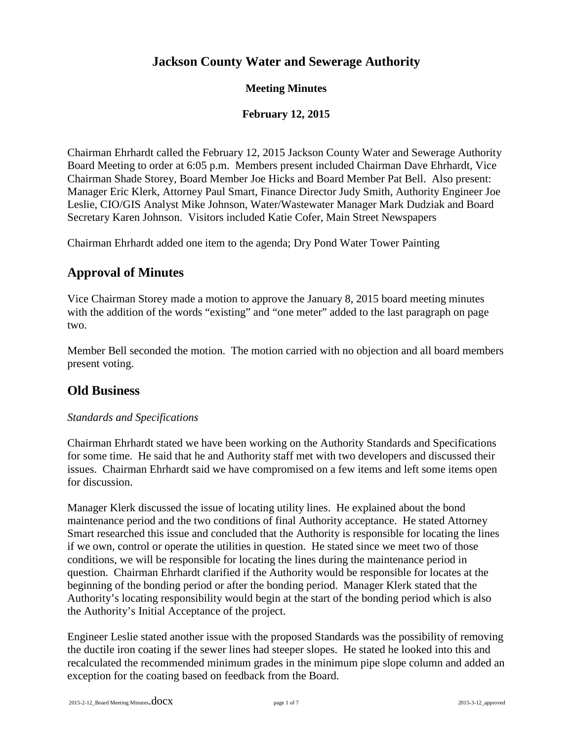# **Jackson County Water and Sewerage Authority**

### **Meeting Minutes**

### **February 12, 2015**

Chairman Ehrhardt called the February 12, 2015 Jackson County Water and Sewerage Authority Board Meeting to order at 6:05 p.m. Members present included Chairman Dave Ehrhardt, Vice Chairman Shade Storey, Board Member Joe Hicks and Board Member Pat Bell. Also present: Manager Eric Klerk, Attorney Paul Smart, Finance Director Judy Smith, Authority Engineer Joe Leslie, CIO/GIS Analyst Mike Johnson, Water/Wastewater Manager Mark Dudziak and Board Secretary Karen Johnson. Visitors included Katie Cofer, Main Street Newspapers

Chairman Ehrhardt added one item to the agenda; Dry Pond Water Tower Painting

# **Approval of Minutes**

Vice Chairman Storey made a motion to approve the January 8, 2015 board meeting minutes with the addition of the words "existing" and "one meter" added to the last paragraph on page two.

Member Bell seconded the motion. The motion carried with no objection and all board members present voting.

## **Old Business**

#### *Standards and Specifications*

Chairman Ehrhardt stated we have been working on the Authority Standards and Specifications for some time. He said that he and Authority staff met with two developers and discussed their issues. Chairman Ehrhardt said we have compromised on a few items and left some items open for discussion.

Manager Klerk discussed the issue of locating utility lines. He explained about the bond maintenance period and the two conditions of final Authority acceptance. He stated Attorney Smart researched this issue and concluded that the Authority is responsible for locating the lines if we own, control or operate the utilities in question. He stated since we meet two of those conditions, we will be responsible for locating the lines during the maintenance period in question. Chairman Ehrhardt clarified if the Authority would be responsible for locates at the beginning of the bonding period or after the bonding period. Manager Klerk stated that the Authority's locating responsibility would begin at the start of the bonding period which is also the Authority's Initial Acceptance of the project.

Engineer Leslie stated another issue with the proposed Standards was the possibility of removing the ductile iron coating if the sewer lines had steeper slopes. He stated he looked into this and recalculated the recommended minimum grades in the minimum pipe slope column and added an exception for the coating based on feedback from the Board.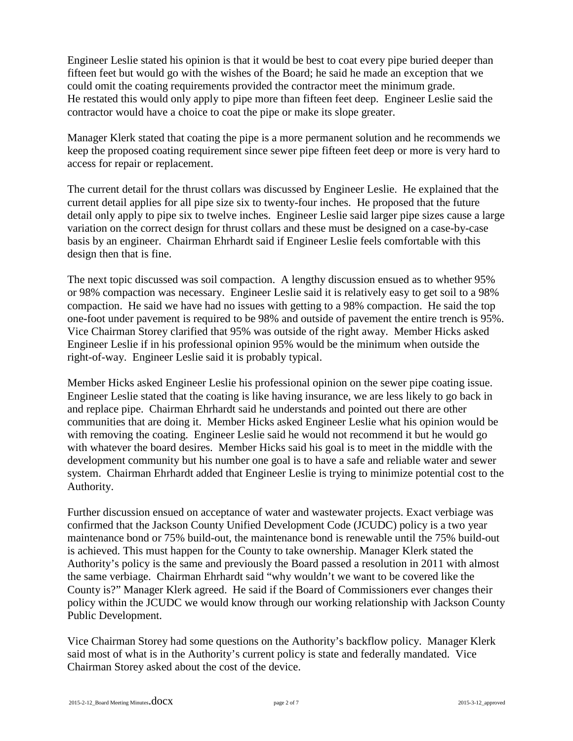Engineer Leslie stated his opinion is that it would be best to coat every pipe buried deeper than fifteen feet but would go with the wishes of the Board; he said he made an exception that we could omit the coating requirements provided the contractor meet the minimum grade. He restated this would only apply to pipe more than fifteen feet deep. Engineer Leslie said the contractor would have a choice to coat the pipe or make its slope greater.

Manager Klerk stated that coating the pipe is a more permanent solution and he recommends we keep the proposed coating requirement since sewer pipe fifteen feet deep or more is very hard to access for repair or replacement.

The current detail for the thrust collars was discussed by Engineer Leslie. He explained that the current detail applies for all pipe size six to twenty-four inches. He proposed that the future detail only apply to pipe six to twelve inches. Engineer Leslie said larger pipe sizes cause a large variation on the correct design for thrust collars and these must be designed on a case-by-case basis by an engineer. Chairman Ehrhardt said if Engineer Leslie feels comfortable with this design then that is fine.

The next topic discussed was soil compaction. A lengthy discussion ensued as to whether 95% or 98% compaction was necessary. Engineer Leslie said it is relatively easy to get soil to a 98% compaction. He said we have had no issues with getting to a 98% compaction. He said the top one-foot under pavement is required to be 98% and outside of pavement the entire trench is 95%. Vice Chairman Storey clarified that 95% was outside of the right away. Member Hicks asked Engineer Leslie if in his professional opinion 95% would be the minimum when outside the right-of-way. Engineer Leslie said it is probably typical.

Member Hicks asked Engineer Leslie his professional opinion on the sewer pipe coating issue. Engineer Leslie stated that the coating is like having insurance, we are less likely to go back in and replace pipe. Chairman Ehrhardt said he understands and pointed out there are other communities that are doing it. Member Hicks asked Engineer Leslie what his opinion would be with removing the coating. Engineer Leslie said he would not recommend it but he would go with whatever the board desires. Member Hicks said his goal is to meet in the middle with the development community but his number one goal is to have a safe and reliable water and sewer system. Chairman Ehrhardt added that Engineer Leslie is trying to minimize potential cost to the Authority.

Further discussion ensued on acceptance of water and wastewater projects. Exact verbiage was confirmed that the Jackson County Unified Development Code (JCUDC) policy is a two year maintenance bond or 75% build-out, the maintenance bond is renewable until the 75% build-out is achieved. This must happen for the County to take ownership. Manager Klerk stated the Authority's policy is the same and previously the Board passed a resolution in 2011 with almost the same verbiage. Chairman Ehrhardt said "why wouldn't we want to be covered like the County is?" Manager Klerk agreed. He said if the Board of Commissioners ever changes their policy within the JCUDC we would know through our working relationship with Jackson County Public Development.

Vice Chairman Storey had some questions on the Authority's backflow policy. Manager Klerk said most of what is in the Authority's current policy is state and federally mandated. Vice Chairman Storey asked about the cost of the device.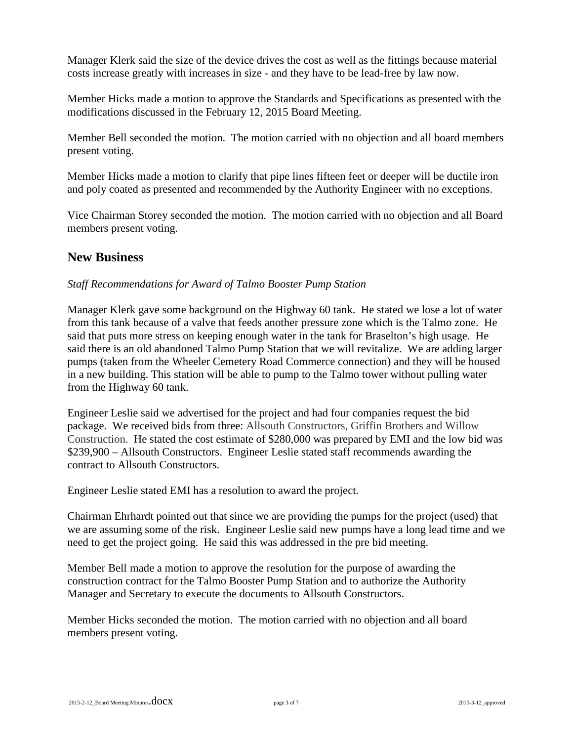Manager Klerk said the size of the device drives the cost as well as the fittings because material costs increase greatly with increases in size - and they have to be lead-free by law now.

Member Hicks made a motion to approve the Standards and Specifications as presented with the modifications discussed in the February 12, 2015 Board Meeting.

Member Bell seconded the motion. The motion carried with no objection and all board members present voting.

Member Hicks made a motion to clarify that pipe lines fifteen feet or deeper will be ductile iron and poly coated as presented and recommended by the Authority Engineer with no exceptions.

Vice Chairman Storey seconded the motion. The motion carried with no objection and all Board members present voting.

### **New Business**

#### *Staff Recommendations for Award of Talmo Booster Pump Station*

Manager Klerk gave some background on the Highway 60 tank. He stated we lose a lot of water from this tank because of a valve that feeds another pressure zone which is the Talmo zone. He said that puts more stress on keeping enough water in the tank for Braselton's high usage. He said there is an old abandoned Talmo Pump Station that we will revitalize. We are adding larger pumps (taken from the Wheeler Cemetery Road Commerce connection) and they will be housed in a new building. This station will be able to pump to the Talmo tower without pulling water from the Highway 60 tank.

Engineer Leslie said we advertised for the project and had four companies request the bid package. We received bids from three: Allsouth Constructors, Griffin Brothers and Willow Construction. He stated the cost estimate of \$280,000 was prepared by EMI and the low bid was \$239,900 – Allsouth Constructors. Engineer Leslie stated staff recommends awarding the contract to Allsouth Constructors.

Engineer Leslie stated EMI has a resolution to award the project.

Chairman Ehrhardt pointed out that since we are providing the pumps for the project (used) that we are assuming some of the risk. Engineer Leslie said new pumps have a long lead time and we need to get the project going. He said this was addressed in the pre bid meeting.

Member Bell made a motion to approve the resolution for the purpose of awarding the construction contract for the Talmo Booster Pump Station and to authorize the Authority Manager and Secretary to execute the documents to Allsouth Constructors.

Member Hicks seconded the motion. The motion carried with no objection and all board members present voting.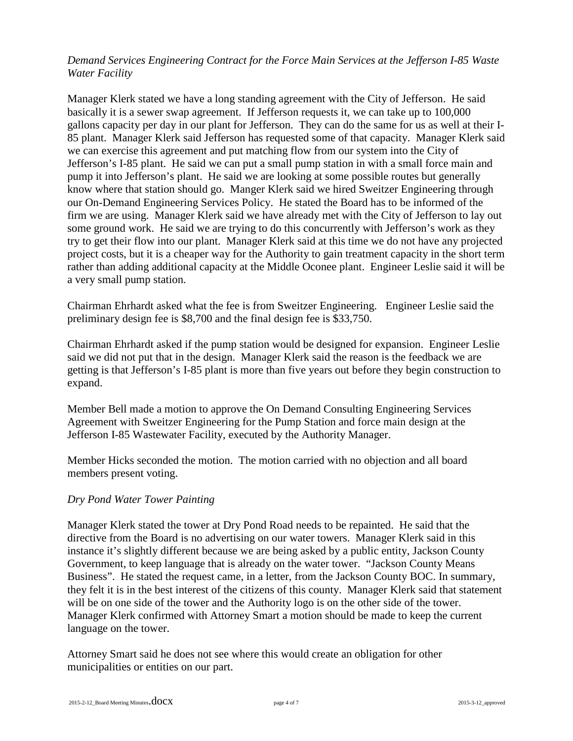#### *Demand Services Engineering Contract for the Force Main Services at the Jefferson I-85 Waste Water Facility*

Manager Klerk stated we have a long standing agreement with the City of Jefferson. He said basically it is a sewer swap agreement. If Jefferson requests it, we can take up to 100,000 gallons capacity per day in our plant for Jefferson. They can do the same for us as well at their I-85 plant. Manager Klerk said Jefferson has requested some of that capacity. Manager Klerk said we can exercise this agreement and put matching flow from our system into the City of Jefferson's I-85 plant. He said we can put a small pump station in with a small force main and pump it into Jefferson's plant. He said we are looking at some possible routes but generally know where that station should go. Manger Klerk said we hired Sweitzer Engineering through our On-Demand Engineering Services Policy. He stated the Board has to be informed of the firm we are using. Manager Klerk said we have already met with the City of Jefferson to lay out some ground work. He said we are trying to do this concurrently with Jefferson's work as they try to get their flow into our plant. Manager Klerk said at this time we do not have any projected project costs, but it is a cheaper way for the Authority to gain treatment capacity in the short term rather than adding additional capacity at the Middle Oconee plant. Engineer Leslie said it will be a very small pump station.

Chairman Ehrhardt asked what the fee is from Sweitzer Engineering. Engineer Leslie said the preliminary design fee is \$8,700 and the final design fee is \$33,750.

Chairman Ehrhardt asked if the pump station would be designed for expansion. Engineer Leslie said we did not put that in the design. Manager Klerk said the reason is the feedback we are getting is that Jefferson's I-85 plant is more than five years out before they begin construction to expand.

Member Bell made a motion to approve the On Demand Consulting Engineering Services Agreement with Sweitzer Engineering for the Pump Station and force main design at the Jefferson I-85 Wastewater Facility, executed by the Authority Manager.

Member Hicks seconded the motion. The motion carried with no objection and all board members present voting.

#### *Dry Pond Water Tower Painting*

Manager Klerk stated the tower at Dry Pond Road needs to be repainted. He said that the directive from the Board is no advertising on our water towers. Manager Klerk said in this instance it's slightly different because we are being asked by a public entity, Jackson County Government, to keep language that is already on the water tower. "Jackson County Means Business". He stated the request came, in a letter, from the Jackson County BOC. In summary, they felt it is in the best interest of the citizens of this county. Manager Klerk said that statement will be on one side of the tower and the Authority logo is on the other side of the tower. Manager Klerk confirmed with Attorney Smart a motion should be made to keep the current language on the tower.

Attorney Smart said he does not see where this would create an obligation for other municipalities or entities on our part.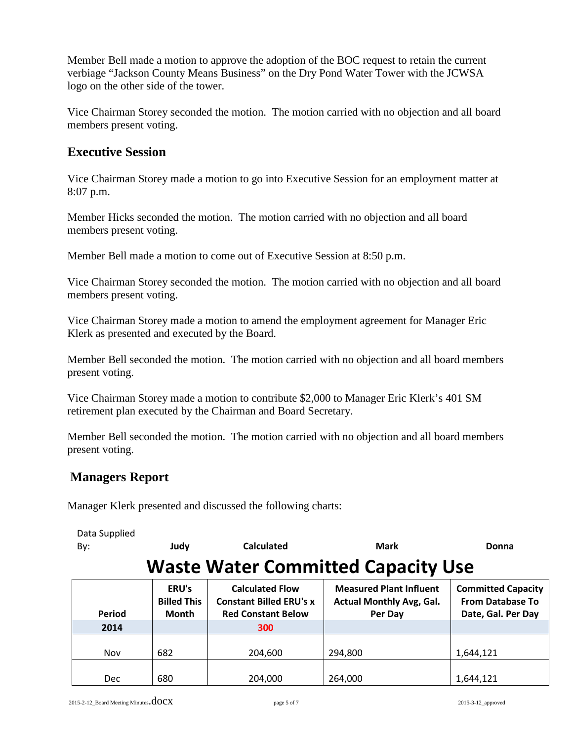Member Bell made a motion to approve the adoption of the BOC request to retain the current verbiage "Jackson County Means Business" on the Dry Pond Water Tower with the JCWSA logo on the other side of the tower.

Vice Chairman Storey seconded the motion. The motion carried with no objection and all board members present voting.

### **Executive Session**

Vice Chairman Storey made a motion to go into Executive Session for an employment matter at 8:07 p.m.

Member Hicks seconded the motion. The motion carried with no objection and all board members present voting.

Member Bell made a motion to come out of Executive Session at 8:50 p.m.

Vice Chairman Storey seconded the motion. The motion carried with no objection and all board members present voting.

Vice Chairman Storey made a motion to amend the employment agreement for Manager Eric Klerk as presented and executed by the Board.

Member Bell seconded the motion. The motion carried with no objection and all board members present voting.

Vice Chairman Storey made a motion to contribute \$2,000 to Manager Eric Klerk's 401 SM retirement plan executed by the Chairman and Board Secretary.

Member Bell seconded the motion. The motion carried with no objection and all board members present voting.

## **Managers Report**

Manager Klerk presented and discussed the following charts:

| Data Supplied<br>By:                      | Judy                                        | <b>Calculated</b>                                                                     | <b>Mark</b>                                                                  | Donna                                                                      |  |
|-------------------------------------------|---------------------------------------------|---------------------------------------------------------------------------------------|------------------------------------------------------------------------------|----------------------------------------------------------------------------|--|
| <b>Waste Water Committed Capacity Use</b> |                                             |                                                                                       |                                                                              |                                                                            |  |
| Period                                    | ERU's<br><b>Billed This</b><br><b>Month</b> | <b>Calculated Flow</b><br><b>Constant Billed ERU's x</b><br><b>Red Constant Below</b> | <b>Measured Plant Influent</b><br><b>Actual Monthly Avg, Gal.</b><br>Per Day | <b>Committed Capacity</b><br><b>From Database To</b><br>Date, Gal. Per Day |  |
| 2014                                      |                                             | 300                                                                                   |                                                                              |                                                                            |  |
| <b>Nov</b>                                | 682                                         | 204,600                                                                               | 294,800                                                                      | 1,644,121                                                                  |  |
| <b>Dec</b>                                | 680                                         | 204,000                                                                               | 264.000                                                                      | 1,644,121                                                                  |  |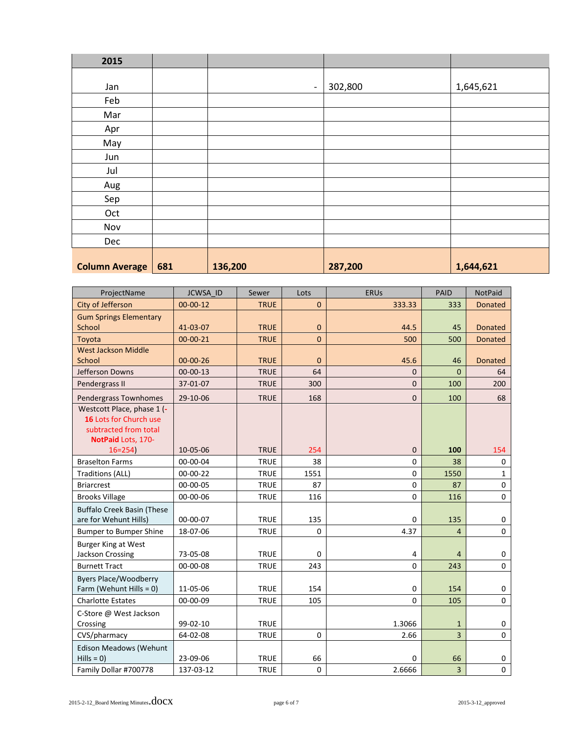| 2015                  |     |                          |         |           |
|-----------------------|-----|--------------------------|---------|-----------|
|                       |     |                          |         |           |
| Jan                   |     | $\overline{\phantom{a}}$ | 302,800 | 1,645,621 |
| Feb                   |     |                          |         |           |
| Mar                   |     |                          |         |           |
| Apr                   |     |                          |         |           |
| May                   |     |                          |         |           |
| Jun                   |     |                          |         |           |
| Jul                   |     |                          |         |           |
| Aug                   |     |                          |         |           |
| Sep                   |     |                          |         |           |
| Oct                   |     |                          |         |           |
| Nov                   |     |                          |         |           |
| Dec                   |     |                          |         |           |
|                       |     |                          |         |           |
| <b>Column Average</b> | 681 | 136,200                  | 287,200 | 1,644,621 |

| ProjectName                                                                                         | JCWSA ID             | Sewer                      | Lots         | <b>ERUs</b>    | PAID                           | <b>NotPaid</b>          |
|-----------------------------------------------------------------------------------------------------|----------------------|----------------------------|--------------|----------------|--------------------------------|-------------------------|
| City of Jefferson                                                                                   | $00 - 00 - 12$       | <b>TRUE</b>                | $\mathbf{0}$ | 333.33         | 333                            | <b>Donated</b>          |
| <b>Gum Springs Elementary</b><br>School                                                             | 41-03-07             | <b>TRUE</b>                | $\mathbf{0}$ | 44.5           | 45                             | <b>Donated</b>          |
| Toyota                                                                                              | $00 - 00 - 21$       | <b>TRUE</b>                | $\Omega$     | 500            | 500                            | <b>Donated</b>          |
| <b>West Jackson Middle</b><br>School                                                                | $00 - 00 - 26$       | <b>TRUE</b>                | $\mathbf{0}$ | 45.6           | 46                             | <b>Donated</b>          |
| Jefferson Downs                                                                                     | $00-00-13$           | <b>TRUE</b>                | 64           | $\Omega$       | $\Omega$                       | 64                      |
| Pendergrass II                                                                                      | 37-01-07             | <b>TRUE</b>                | 300          | $\mathbf{0}$   | 100                            | 200                     |
| Pendergrass Townhomes                                                                               | 29-10-06             | <b>TRUE</b>                | 168          | $\mathbf{0}$   | 100                            | 68                      |
| Westcott Place, phase 1 (-<br>16 Lots for Church use<br>subtracted from total<br>NotPaid Lots, 170- |                      |                            |              |                |                                |                         |
| $16 = 254$                                                                                          | 10-05-06             | <b>TRUE</b>                | 254          | $\mathbf{0}$   | 100                            | 154                     |
| <b>Braselton Farms</b>                                                                              | 00-00-04             | <b>TRUE</b>                | 38           | $\mathbf 0$    | 38                             | $\mathbf 0$             |
| <b>Traditions (ALL)</b>                                                                             | $00 - 00 - 22$       | <b>TRUE</b>                | 1551         | $\Omega$       | 1550                           | $\mathbf{1}$            |
| <b>Briarcrest</b>                                                                                   | 00-00-05             | <b>TRUE</b>                | 87           | $\mathbf 0$    | 87                             | $\mathbf 0$             |
| <b>Brooks Village</b>                                                                               | 00-00-06             | <b>TRUE</b>                | 116          | $\Omega$       | 116                            | $\Omega$                |
| <b>Buffalo Creek Basin (These</b><br>are for Wehunt Hills)                                          | 00-00-07             | <b>TRUE</b>                | 135          | $\Omega$       | 135                            | 0                       |
| <b>Bumper to Bumper Shine</b>                                                                       | 18-07-06             | <b>TRUE</b>                | $\mathbf 0$  | 4.37           | $\overline{4}$                 | $\Omega$                |
| <b>Burger King at West</b><br>Jackson Crossing                                                      | 73-05-08             | <b>TRUE</b>                | $\Omega$     | 4              | $\overline{4}$                 | 0                       |
| <b>Burnett Tract</b>                                                                                | 00-00-08             | <b>TRUE</b>                | 243          | $\Omega$       | 243                            | $\Omega$                |
| <b>Byers Place/Woodberry</b><br>Farm (Wehunt Hills = 0)                                             | 11-05-06             | <b>TRUE</b>                | 154          | $\mathbf 0$    | 154                            | $\mathbf 0$             |
| <b>Charlotte Estates</b>                                                                            | 00-00-09             | <b>TRUE</b>                | 105          | $\Omega$       | 105                            | $\mathbf 0$             |
| C-Store @ West Jackson<br>Crossing                                                                  | 99-02-10<br>64-02-08 | <b>TRUE</b><br><b>TRUE</b> | $\mathbf 0$  | 1.3066<br>2.66 | $\mathbf{1}$<br>$\overline{3}$ | $\mathbf 0$<br>$\Omega$ |
| CVS/pharmacy                                                                                        |                      |                            |              |                |                                |                         |
| <b>Edison Meadows (Wehunt</b><br>$Hills = 0$                                                        | 23-09-06             | <b>TRUE</b>                | 66           | $\Omega$       | 66                             | 0                       |
| Family Dollar #700778                                                                               | 137-03-12            | <b>TRUE</b>                | $\pmb{0}$    | 2.6666         | $\overline{\mathbf{3}}$        | 0                       |